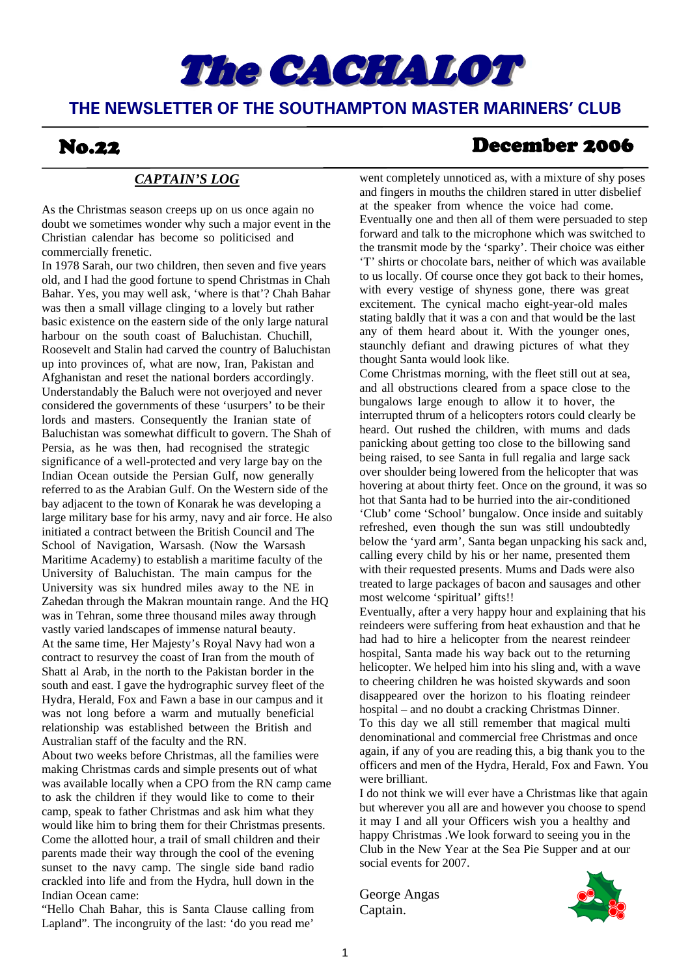# The **CACHALOT**

#### **THE NEWSLETTER OF THE SOUTHAMPTON MASTER MARINERS' CLUB**

#### *CAPTAIN'S LOG*

As the Christmas season creeps up on us once again no doubt we sometimes wonder why such a major event in the Christian calendar has become so politicised and commercially frenetic.

In 1978 Sarah, our two children, then seven and five years old, and I had the good fortune to spend Christmas in Chah Bahar. Yes, you may well ask, 'where is that'? Chah Bahar was then a small village clinging to a lovely but rather basic existence on the eastern side of the only large natural harbour on the south coast of Baluchistan. Chuchill, Roosevelt and Stalin had carved the country of Baluchistan up into provinces of, what are now, Iran, Pakistan and Afghanistan and reset the national borders accordingly. Understandably the Baluch were not overjoyed and never considered the governments of these 'usurpers' to be their lords and masters. Consequently the Iranian state of Baluchistan was somewhat difficult to govern. The Shah of Persia, as he was then, had recognised the strategic significance of a well-protected and very large bay on the Indian Ocean outside the Persian Gulf, now generally referred to as the Arabian Gulf. On the Western side of the bay adjacent to the town of Konarak he was developing a large military base for his army, navy and air force. He also initiated a contract between the British Council and The School of Navigation, Warsash. (Now the Warsash Maritime Academy) to establish a maritime faculty of the University of Baluchistan. The main campus for the University was six hundred miles away to the NE in Zahedan through the Makran mountain range. And the HQ was in Tehran, some three thousand miles away through vastly varied landscapes of immense natural beauty. At the same time, Her Majesty's Royal Navy had won a contract to resurvey the coast of Iran from the mouth of Shatt al Arab, in the north to the Pakistan border in the south and east. I gave the hydrographic survey fleet of the Hydra, Herald, Fox and Fawn a base in our campus and it was not long before a warm and mutually beneficial relationship was established between the British and Australian staff of the faculty and the RN.

About two weeks before Christmas, all the families were making Christmas cards and simple presents out of what was available locally when a CPO from the RN camp came to ask the children if they would like to come to their camp, speak to father Christmas and ask him what they would like him to bring them for their Christmas presents. Come the allotted hour, a trail of small children and their parents made their way through the cool of the evening sunset to the navy camp. The single side band radio crackled into life and from the Hydra, hull down in the Indian Ocean came:

"Hello Chah Bahar, this is Santa Clause calling from Lapland". The incongruity of the last: 'do you read me'

### No.22 December 2006

went completely unnoticed as, with a mixture of shy poses and fingers in mouths the children stared in utter disbelief at the speaker from whence the voice had come. Eventually one and then all of them were persuaded to step forward and talk to the microphone which was switched to the transmit mode by the 'sparky'. Their choice was either 'T' shirts or chocolate bars, neither of which was available to us locally. Of course once they got back to their homes, with every vestige of shyness gone, there was great excitement. The cynical macho eight-year-old males stating baldly that it was a con and that would be the last any of them heard about it. With the younger ones, staunchly defiant and drawing pictures of what they thought Santa would look like.

Come Christmas morning, with the fleet still out at sea, and all obstructions cleared from a space close to the bungalows large enough to allow it to hover, the interrupted thrum of a helicopters rotors could clearly be heard. Out rushed the children, with mums and dads panicking about getting too close to the billowing sand being raised, to see Santa in full regalia and large sack over shoulder being lowered from the helicopter that was hovering at about thirty feet. Once on the ground, it was so hot that Santa had to be hurried into the air-conditioned 'Club' come 'School' bungalow. Once inside and suitably refreshed, even though the sun was still undoubtedly below the 'yard arm', Santa began unpacking his sack and, calling every child by his or her name, presented them with their requested presents. Mums and Dads were also treated to large packages of bacon and sausages and other most welcome 'spiritual' gifts!!

Eventually, after a very happy hour and explaining that his reindeers were suffering from heat exhaustion and that he had had to hire a helicopter from the nearest reindeer hospital, Santa made his way back out to the returning helicopter. We helped him into his sling and, with a wave to cheering children he was hoisted skywards and soon disappeared over the horizon to his floating reindeer hospital – and no doubt a cracking Christmas Dinner. To this day we all still remember that magical multi denominational and commercial free Christmas and once again, if any of you are reading this, a big thank you to the officers and men of the Hydra, Herald, Fox and Fawn. You were brilliant.

I do not think we will ever have a Christmas like that again but wherever you all are and however you choose to spend it may I and all your Officers wish you a healthy and happy Christmas .We look forward to seeing you in the Club in the New Year at the Sea Pie Supper and at our social events for 2007.

George Angas Captain.

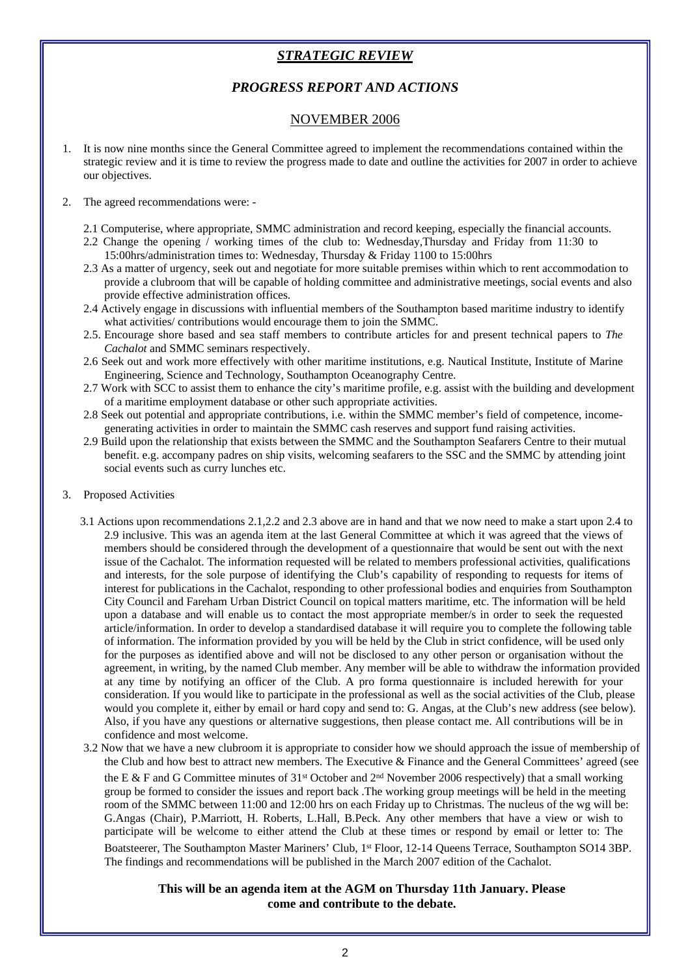#### *STRATEGIC REVIEW*

#### *PROGRESS REPORT AND ACTIONS*

#### NOVEMBER 2006

1. It is now nine months since the General Committee agreed to implement the recommendations contained within the strategic review and it is time to review the progress made to date and outline the activities for 2007 in order to achieve our objectives.

#### 2. The agreed recommendations were: -

- 2.1 Computerise, where appropriate, SMMC administration and record keeping, especially the financial accounts.
- 2.2 Change the opening / working times of the club to: Wednesday,Thursday and Friday from 11:30 to 15:00hrs/administration times to: Wednesday, Thursday & Friday 1100 to 15:00hrs
- 2.3 As a matter of urgency, seek out and negotiate for more suitable premises within which to rent accommodation to provide a clubroom that will be capable of holding committee and administrative meetings, social events and also provide effective administration offices.
- 2.4 Actively engage in discussions with influential members of the Southampton based maritime industry to identify what activities/ contributions would encourage them to join the SMMC.
- 2.5. Encourage shore based and sea staff members to contribute articles for and present technical papers to *The Cachalot* and SMMC seminars respectively.
- 2.6 Seek out and work more effectively with other maritime institutions, e.g. Nautical Institute, Institute of Marine Engineering, Science and Technology, Southampton Oceanography Centre.
- 2.7 Work with SCC to assist them to enhance the city's maritime profile, e.g. assist with the building and development of a maritime employment database or other such appropriate activities.
- 2.8 Seek out potential and appropriate contributions, i.e. within the SMMC member's field of competence, incomegenerating activities in order to maintain the SMMC cash reserves and support fund raising activities.
- 2.9 Build upon the relationship that exists between the SMMC and the Southampton Seafarers Centre to their mutual benefit. e.g. accompany padres on ship visits, welcoming seafarers to the SSC and the SMMC by attending joint social events such as curry lunches etc.

#### 3. Proposed Activities

- 3.1 Actions upon recommendations 2.1,2.2 and 2.3 above are in hand and that we now need to make a start upon 2.4 to 2.9 inclusive. This was an agenda item at the last General Committee at which it was agreed that the views of members should be considered through the development of a questionnaire that would be sent out with the next issue of the Cachalot. The information requested will be related to members professional activities, qualifications and interests, for the sole purpose of identifying the Club's capability of responding to requests for items of interest for publications in the Cachalot, responding to other professional bodies and enquiries from Southampton City Council and Fareham Urban District Council on topical matters maritime, etc. The information will be held upon a database and will enable us to contact the most appropriate member/s in order to seek the requested article/information. In order to develop a standardised database it will require you to complete the following table of information. The information provided by you will be held by the Club in strict confidence, will be used only for the purposes as identified above and will not be disclosed to any other person or organisation without the agreement, in writing, by the named Club member. Any member will be able to withdraw the information provided at any time by notifying an officer of the Club. A pro forma questionnaire is included herewith for your consideration. If you would like to participate in the professional as well as the social activities of the Club, please would you complete it, either by email or hard copy and send to: G. Angas, at the Club's new address (see below). Also, if you have any questions or alternative suggestions, then please contact me. All contributions will be in confidence and most welcome.
- 3.2 Now that we have a new clubroom it is appropriate to consider how we should approach the issue of membership of the Club and how best to attract new members. The Executive & Finance and the General Committees' agreed (see the E & F and G Committee minutes of 31<sup>st</sup> October and 2<sup>nd</sup> November 2006 respectively) that a small working group be formed to consider the issues and report back .The working group meetings will be held in the meeting room of the SMMC between 11:00 and 12:00 hrs on each Friday up to Christmas. The nucleus of the wg will be: G.Angas (Chair), P.Marriott, H. Roberts, L.Hall, B.Peck. Any other members that have a view or wish to participate will be welcome to either attend the Club at these times or respond by email or letter to: The Boatsteerer, The Southampton Master Mariners' Club, 1<sup>st</sup> Floor, 12-14 Queens Terrace, Southampton SO14 3BP. The findings and recommendations will be published in the March 2007 edition of the Cachalot.

#### **This will be an agenda item at the AGM on Thursday 11th January. Please come and contribute to the debate.**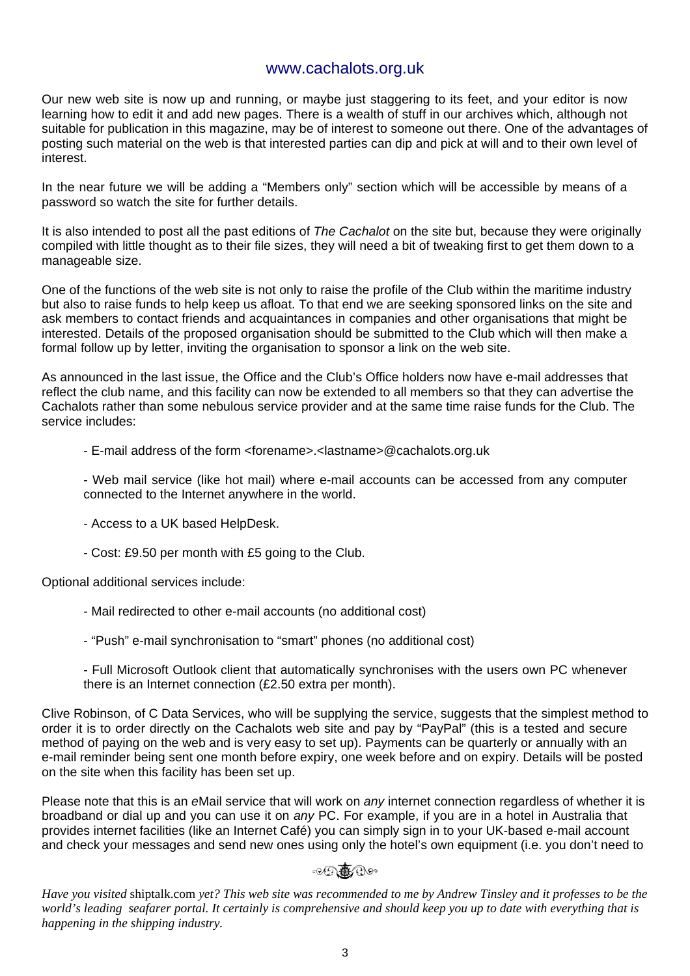#### www.cachalots.org.uk

Our new web site is now up and running, or maybe just staggering to its feet, and your editor is now learning how to edit it and add new pages. There is a wealth of stuff in our archives which, although not suitable for publication in this magazine, may be of interest to someone out there. One of the advantages of posting such material on the web is that interested parties can dip and pick at will and to their own level of interest.

In the near future we will be adding a "Members only" section which will be accessible by means of a password so watch the site for further details.

It is also intended to post all the past editions of *The Cachalot* on the site but, because they were originally compiled with little thought as to their file sizes, they will need a bit of tweaking first to get them down to a manageable size.

One of the functions of the web site is not only to raise the profile of the Club within the maritime industry but also to raise funds to help keep us afloat. To that end we are seeking sponsored links on the site and ask members to contact friends and acquaintances in companies and other organisations that might be interested. Details of the proposed organisation should be submitted to the Club which will then make a formal follow up by letter, inviting the organisation to sponsor a link on the web site.

As announced in the last issue, the Office and the Club's Office holders now have e-mail addresses that reflect the club name, and this facility can now be extended to all members so that they can advertise the Cachalots rather than some nebulous service provider and at the same time raise funds for the Club. The service includes:

- E-mail address of the form <forename>.<lastname>@cachalots.org.uk

 - Web mail service (like hot mail) where e-mail accounts can be accessed from any computer connected to the Internet anywhere in the world.

- Access to a UK based HelpDesk.
- Cost: £9.50 per month with £5 going to the Club.

Optional additional services include:

- Mail redirected to other e-mail accounts (no additional cost)
- "Push" e-mail synchronisation to "smart" phones (no additional cost)
- Full Microsoft Outlook client that automatically synchronises with the users own PC whenever there is an Internet connection (£2.50 extra per month).

Clive Robinson, of C Data Services, who will be supplying the service, suggests that the simplest method to order it is to order directly on the Cachalots web site and pay by "PayPal" (this is a tested and secure method of paying on the web and is very easy to set up). Payments can be quarterly or annually with an e-mail reminder being sent one month before expiry, one week before and on expiry. Details will be posted on the site when this facility has been set up.

Please note that this is an *e*Mail service that will work on *any* internet connection regardless of whether it is broadband or dial up and you can use it on *any* PC. For example, if you are in a hotel in Australia that provides internet facilities (like an Internet Café) you can simply sign in to your UK-based e-mail account and check your messages and send new ones using only the hotel's own equipment (i.e. you don't need to

#### $\circledcirc \bullet \bullet \bullet \bullet \circ \bullet$

*Have you visited* shiptalk.com *yet? This web site was recommended to me by Andrew Tinsley and it professes to be the world's leading seafarer portal. It certainly is comprehensive and should keep you up to date with everything that is happening in the shipping industry.*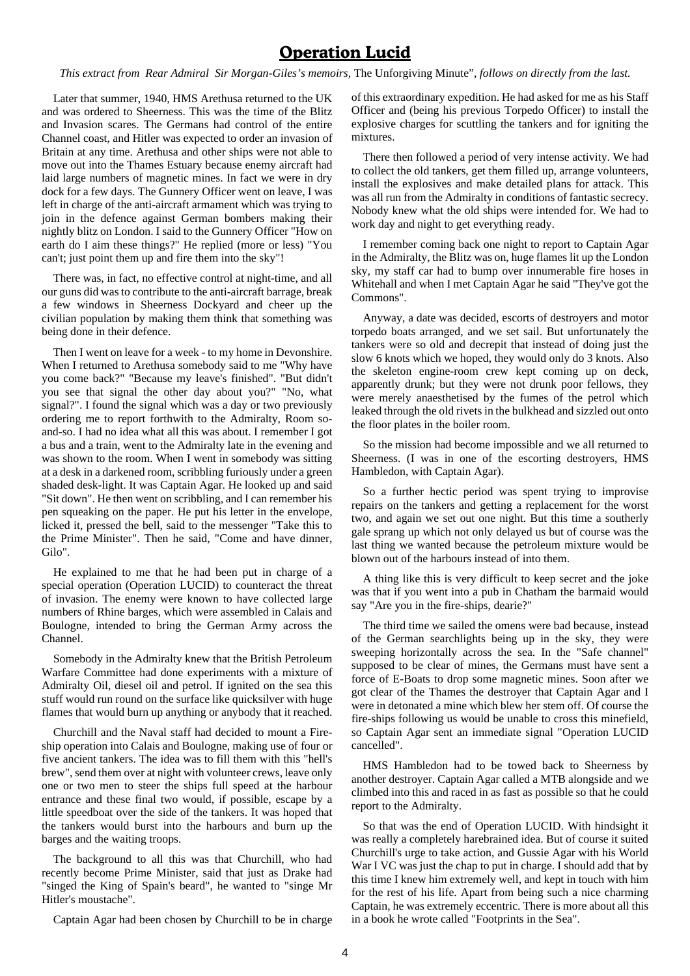#### **Operation Lucid**

*This extract from Rear Admiral Sir Morgan-Giles's memoirs,* The Unforgiving Minute", *follows on directly from the last.*

Later that summer, 1940, HMS Arethusa returned to the UK and was ordered to Sheerness. This was the time of the Blitz and Invasion scares. The Germans had control of the entire Channel coast, and Hitler was expected to order an invasion of Britain at any time. Arethusa and other ships were not able to move out into the Thames Estuary because enemy aircraft had laid large numbers of magnetic mines. In fact we were in dry dock for a few days. The Gunnery Officer went on leave, I was left in charge of the anti-aircraft armament which was trying to join in the defence against German bombers making their nightly blitz on London. I said to the Gunnery Officer "How on earth do I aim these things?" He replied (more or less) "You can't; just point them up and fire them into the sky"!

There was, in fact, no effective control at night-time, and all our guns did was to contribute to the anti-aircraft barrage, break a few windows in Sheerness Dockyard and cheer up the civilian population by making them think that something was being done in their defence.

Then I went on leave for a week - to my home in Devonshire. When I returned to Arethusa somebody said to me "Why have you come back?" "Because my leave's finished". "But didn't you see that signal the other day about you?" "No, what signal?". I found the signal which was a day or two previously ordering me to report forthwith to the Admiralty, Room soand-so. I had no idea what all this was about. I remember I got a bus and a train, went to the Admiralty late in the evening and was shown to the room. When I went in somebody was sitting at a desk in a darkened room, scribbling furiously under a green shaded desk-light. It was Captain Agar. He looked up and said "Sit down". He then went on scribbling, and I can remember his pen squeaking on the paper. He put his letter in the envelope, licked it, pressed the bell, said to the messenger "Take this to the Prime Minister". Then he said, "Come and have dinner, Gilo".

He explained to me that he had been put in charge of a special operation (Operation LUCID) to counteract the threat of invasion. The enemy were known to have collected large numbers of Rhine barges, which were assembled in Calais and Boulogne, intended to bring the German Army across the Channel.

Somebody in the Admiralty knew that the British Petroleum Warfare Committee had done experiments with a mixture of Admiralty Oil, diesel oil and petrol. If ignited on the sea this stuff would run round on the surface like quicksilver with huge flames that would burn up anything or anybody that it reached.

Churchill and the Naval staff had decided to mount a Fireship operation into Calais and Boulogne, making use of four or five ancient tankers. The idea was to fill them with this "hell's brew", send them over at night with volunteer crews, leave only one or two men to steer the ships full speed at the harbour entrance and these final two would, if possible, escape by a little speedboat over the side of the tankers. It was hoped that the tankers would burst into the harbours and burn up the barges and the waiting troops.

The background to all this was that Churchill, who had recently become Prime Minister, said that just as Drake had "singed the King of Spain's beard", he wanted to "singe Mr Hitler's moustache".

Captain Agar had been chosen by Churchill to be in charge

of this extraordinary expedition. He had asked for me as his Staff Officer and (being his previous Torpedo Officer) to install the explosive charges for scuttling the tankers and for igniting the mixtures.

There then followed a period of very intense activity. We had to collect the old tankers, get them filled up, arrange volunteers, install the explosives and make detailed plans for attack. This was all run from the Admiralty in conditions of fantastic secrecy. Nobody knew what the old ships were intended for. We had to work day and night to get everything ready.

I remember coming back one night to report to Captain Agar in the Admiralty, the Blitz was on, huge flames lit up the London sky, my staff car had to bump over innumerable fire hoses in Whitehall and when I met Captain Agar he said "They've got the Commons".

Anyway, a date was decided, escorts of destroyers and motor torpedo boats arranged, and we set sail. But unfortunately the tankers were so old and decrepit that instead of doing just the slow 6 knots which we hoped, they would only do 3 knots. Also the skeleton engine-room crew kept coming up on deck, apparently drunk; but they were not drunk poor fellows, they were merely anaesthetised by the fumes of the petrol which leaked through the old rivets in the bulkhead and sizzled out onto the floor plates in the boiler room.

So the mission had become impossible and we all returned to Sheerness. (I was in one of the escorting destroyers, HMS Hambledon, with Captain Agar).

So a further hectic period was spent trying to improvise repairs on the tankers and getting a replacement for the worst two, and again we set out one night. But this time a southerly gale sprang up which not only delayed us but of course was the last thing we wanted because the petroleum mixture would be blown out of the harbours instead of into them.

A thing like this is very difficult to keep secret and the joke was that if you went into a pub in Chatham the barmaid would say "Are you in the fire-ships, dearie?"

The third time we sailed the omens were bad because, instead of the German searchlights being up in the sky, they were sweeping horizontally across the sea. In the "Safe channel" supposed to be clear of mines, the Germans must have sent a force of E-Boats to drop some magnetic mines. Soon after we got clear of the Thames the destroyer that Captain Agar and I were in detonated a mine which blew her stem off. Of course the fire-ships following us would be unable to cross this minefield, so Captain Agar sent an immediate signal "Operation LUCID cancelled".

HMS Hambledon had to be towed back to Sheerness by another destroyer. Captain Agar called a MTB alongside and we climbed into this and raced in as fast as possible so that he could report to the Admiralty.

So that was the end of Operation LUCID. With hindsight it was really a completely harebrained idea. But of course it suited Churchill's urge to take action, and Gussie Agar with his World War I VC was just the chap to put in charge. I should add that by this time I knew him extremely well, and kept in touch with him for the rest of his life. Apart from being such a nice charming Captain, he was extremely eccentric. There is more about all this in a book he wrote called "Footprints in the Sea".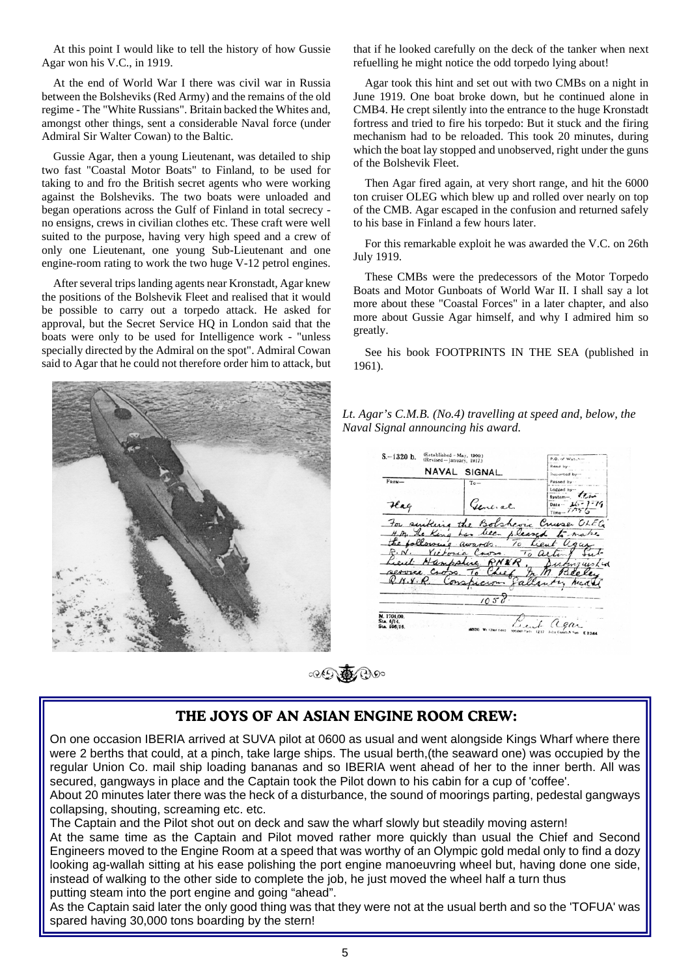At this point I would like to tell the history of how Gussie Agar won his V.C., in 1919.

At the end of World War I there was civil war in Russia between the Bolsheviks (Red Army) and the remains of the old regime - The "White Russians". Britain backed the Whites and, amongst other things, sent a considerable Naval force (under Admiral Sir Walter Cowan) to the Baltic.

Gussie Agar, then a young Lieutenant, was detailed to ship two fast "Coastal Motor Boats" to Finland, to be used for taking to and fro the British secret agents who were working against the Bolsheviks. The two boats were unloaded and began operations across the Gulf of Finland in total secrecy no ensigns, crews in civilian clothes etc. These craft were well suited to the purpose, having very high speed and a crew of only one Lieutenant, one young Sub-Lieutenant and one engine-room rating to work the two huge V-12 petrol engines.

After several trips landing agents near Kronstadt, Agar knew the positions of the Bolshevik Fleet and realised that it would be possible to carry out a torpedo attack. He asked for approval, but the Secret Service HQ in London said that the boats were only to be used for Intelligence work - "unless specially directed by the Admiral on the spot". Admiral Cowan said to Agar that he could not therefore order him to attack, but



Agar took this hint and set out with two CMBs on a night in June 1919. One boat broke down, but he continued alone in CMB4. He crept silently into the entrance to the huge Kronstadt fortress and tried to fire his torpedo: But it stuck and the firing mechanism had to be reloaded. This took 20 minutes, during which the boat lay stopped and unobserved, right under the guns of the Bolshevik Fleet.

Then Agar fired again, at very short range, and hit the 6000 ton cruiser OLEG which blew up and rolled over nearly on top of the CMB. Agar escaped in the confusion and returned safely to his base in Finland a few hours later.

For this remarkable exploit he was awarded the V.C. on 26th July 1919.

These CMBs were the predecessors of the Motor Torpedo Boats and Motor Gunboats of World War II. I shall say a lot more about these "Coastal Forces" in a later chapter, and also more about Gussie Agar himself, and why I admired him so greatly.

See his book FOOTPRINTS IN THE SEA (published in 1961).



*Lt. Agar's C.M.B. (No.4) travelling at speed and, below, the Naval Signal announcing his award.*

| $S - 1320$ b.             | (Established - May, 1900.)<br>(Revised-January, 1917.) |                                | P.O. of Watches<br>Read by-           |
|---------------------------|--------------------------------------------------------|--------------------------------|---------------------------------------|
|                           | NAVAL                                                  | SIGNAL.                        | <b>Reported by-</b>                   |
| $F_{\text{ROM}}-$         |                                                        | $Te-$                          | Passed by                             |
|                           |                                                        |                                | Logged by<br>$6$ ystem $\overline{J}$ |
| $\mathcal{H}$ ag          |                                                        | General.                       | Date - $26 - 7 - 16$<br>$Time - 1/75$ |
|                           |                                                        |                                | For surking the Botshevic Cruse OLEG  |
|                           |                                                        | H.M. The King has been pleased | rke                                   |
|                           |                                                        | the following awards.          | To Lieut                              |
|                           |                                                        | E.N. Victoria Cross.           | To action                             |
|                           |                                                        | Lieut Hampphie RNER.           | Sustairworld                          |
|                           |                                                        |                                | service Cross. To Chief m.M. Beeley   |
|                           |                                                        |                                | R.N.Y.R. Conspicion fallently head    |
|                           |                                                        |                                |                                       |
|                           |                                                        | 1058                           |                                       |
| M. 1704/00.<br>Sta. 6/14. |                                                        |                                | Mit agar                              |

 $\circledcircled{F}$ 

#### **THE JOYS OF AN ASIAN ENGINE ROOM CREW:**

On one occasion IBERIA arrived at SUVA pilot at 0600 as usual and went alongside Kings Wharf where there were 2 berths that could, at a pinch, take large ships. The usual berth,(the seaward one) was occupied by the regular Union Co. mail ship loading bananas and so IBERIA went ahead of her to the inner berth. All was secured, gangways in place and the Captain took the Pilot down to his cabin for a cup of 'coffee'.

About 20 minutes later there was the heck of a disturbance, the sound of moorings parting, pedestal gangways collapsing, shouting, screaming etc. etc.

The Captain and the Pilot shot out on deck and saw the wharf slowly but steadily moving astern!

At the same time as the Captain and Pilot moved rather more quickly than usual the Chief and Second Engineers moved to the Engine Room at a speed that was worthy of an Olympic gold medal only to find a dozy looking ag-wallah sitting at his ease polishing the port engine manoeuvring wheel but, having done one side, instead of walking to the other side to complete the job, he just moved the wheel half a turn thus putting steam into the port engine and going "ahead".

As the Captain said later the only good thing was that they were not at the usual berth and so the 'TOFUA' was spared having 30,000 tons boarding by the stern!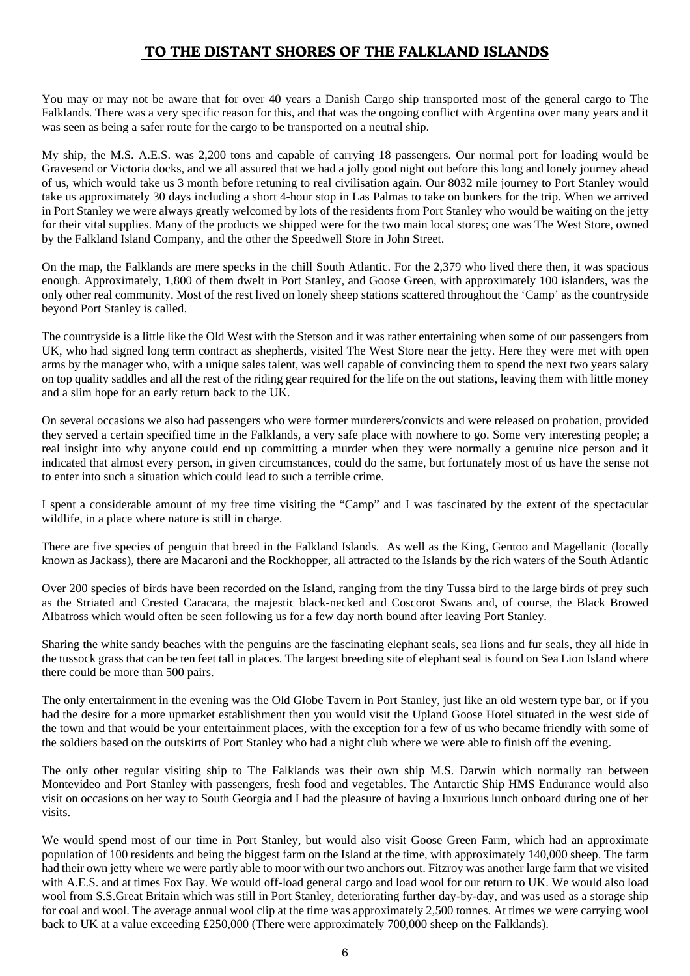#### **TO THE DISTANT SHORES OF THE FALKLAND ISLANDS**

You may or may not be aware that for over 40 years a Danish Cargo ship transported most of the general cargo to The Falklands. There was a very specific reason for this, and that was the ongoing conflict with Argentina over many years and it was seen as being a safer route for the cargo to be transported on a neutral ship.

My ship, the M.S. A.E.S. was 2,200 tons and capable of carrying 18 passengers. Our normal port for loading would be Gravesend or Victoria docks, and we all assured that we had a jolly good night out before this long and lonely journey ahead of us, which would take us 3 month before retuning to real civilisation again. Our 8032 mile journey to Port Stanley would take us approximately 30 days including a short 4-hour stop in Las Palmas to take on bunkers for the trip. When we arrived in Port Stanley we were always greatly welcomed by lots of the residents from Port Stanley who would be waiting on the jetty for their vital supplies. Many of the products we shipped were for the two main local stores; one was The West Store, owned by the Falkland Island Company, and the other the Speedwell Store in John Street.

On the map, the Falklands are mere specks in the chill South Atlantic. For the 2,379 who lived there then, it was spacious enough. Approximately, 1,800 of them dwelt in Port Stanley, and Goose Green, with approximately 100 islanders, was the only other real community. Most of the rest lived on lonely sheep stations scattered throughout the 'Camp' as the countryside beyond Port Stanley is called.

The countryside is a little like the Old West with the Stetson and it was rather entertaining when some of our passengers from UK, who had signed long term contract as shepherds, visited The West Store near the jetty. Here they were met with open arms by the manager who, with a unique sales talent, was well capable of convincing them to spend the next two years salary on top quality saddles and all the rest of the riding gear required for the life on the out stations, leaving them with little money and a slim hope for an early return back to the UK.

On several occasions we also had passengers who were former murderers/convicts and were released on probation, provided they served a certain specified time in the Falklands, a very safe place with nowhere to go. Some very interesting people; a real insight into why anyone could end up committing a murder when they were normally a genuine nice person and it indicated that almost every person, in given circumstances, could do the same, but fortunately most of us have the sense not to enter into such a situation which could lead to such a terrible crime.

I spent a considerable amount of my free time visiting the "Camp" and I was fascinated by the extent of the spectacular wildlife, in a place where nature is still in charge.

There are five species of penguin that breed in the Falkland Islands. As well as the King, Gentoo and Magellanic (locally known as Jackass), there are Macaroni and the Rockhopper, all attracted to the Islands by the rich waters of the South Atlantic

Over 200 species of birds have been recorded on the Island, ranging from the tiny Tussa bird to the large birds of prey such as the Striated and Crested Caracara, the majestic black-necked and Coscorot Swans and, of course, the Black Browed Albatross which would often be seen following us for a few day north bound after leaving Port Stanley.

Sharing the white sandy beaches with the penguins are the fascinating elephant seals, sea lions and fur seals, they all hide in the tussock grass that can be ten feet tall in places. The largest breeding site of elephant seal is found on Sea Lion Island where there could be more than 500 pairs.

The only entertainment in the evening was the Old Globe Tavern in Port Stanley, just like an old western type bar, or if you had the desire for a more upmarket establishment then you would visit the Upland Goose Hotel situated in the west side of the town and that would be your entertainment places, with the exception for a few of us who became friendly with some of the soldiers based on the outskirts of Port Stanley who had a night club where we were able to finish off the evening.

The only other regular visiting ship to The Falklands was their own ship M.S. Darwin which normally ran between Montevideo and Port Stanley with passengers, fresh food and vegetables. The Antarctic Ship HMS Endurance would also visit on occasions on her way to South Georgia and I had the pleasure of having a luxurious lunch onboard during one of her visits.

We would spend most of our time in Port Stanley, but would also visit Goose Green Farm, which had an approximate population of 100 residents and being the biggest farm on the Island at the time, with approximately 140,000 sheep. The farm had their own jetty where we were partly able to moor with our two anchors out. Fitzroy was another large farm that we visited with A.E.S. and at times Fox Bay. We would off-load general cargo and load wool for our return to UK. We would also load wool from S.S.Great Britain which was still in Port Stanley, deteriorating further day-by-day, and was used as a storage ship for coal and wool. The average annual wool clip at the time was approximately 2,500 tonnes. At times we were carrying wool back to UK at a value exceeding £250,000 (There were approximately 700,000 sheep on the Falklands).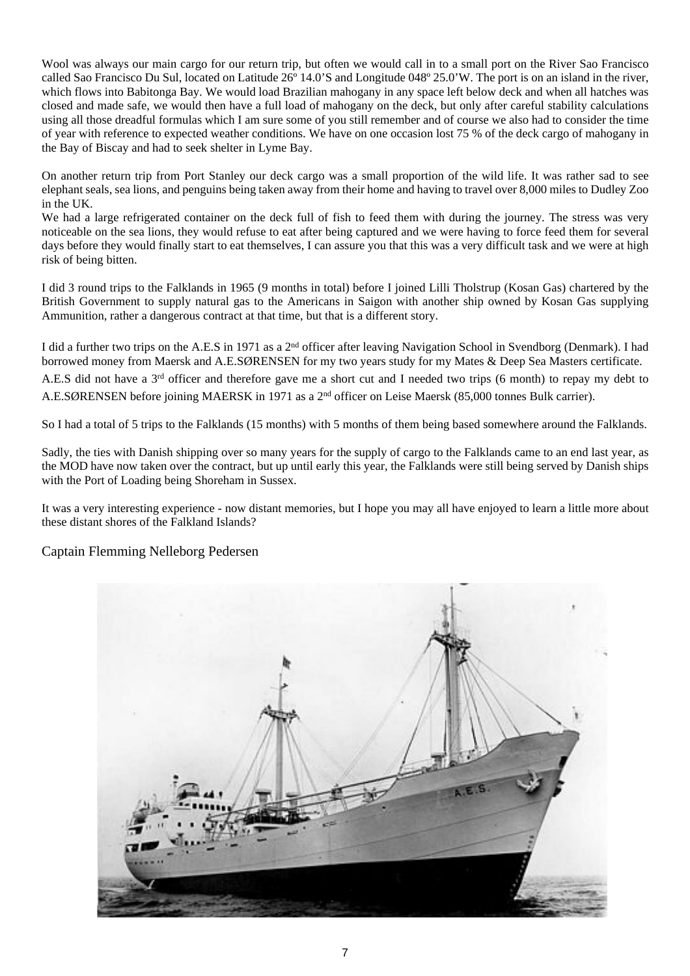Wool was always our main cargo for our return trip, but often we would call in to a small port on the River Sao Francisco called Sao Francisco Du Sul, located on Latitude  $26^{\circ}$  14.0'S and Longitude 048° 25.0'W. The port is on an island in the river, which flows into Babitonga Bay. We would load Brazilian mahogany in any space left below deck and when all hatches was closed and made safe, we would then have a full load of mahogany on the deck, but only after careful stability calculations using all those dreadful formulas which I am sure some of you still remember and of course we also had to consider the time of year with reference to expected weather conditions. We have on one occasion lost 75 % of the deck cargo of mahogany in the Bay of Biscay and had to seek shelter in Lyme Bay.

On another return trip from Port Stanley our deck cargo was a small proportion of the wild life. It was rather sad to see elephant seals, sea lions, and penguins being taken away from their home and having to travel over 8,000 miles to Dudley Zoo in the UK.

We had a large refrigerated container on the deck full of fish to feed them with during the journey. The stress was very noticeable on the sea lions, they would refuse to eat after being captured and we were having to force feed them for several days before they would finally start to eat themselves, I can assure you that this was a very difficult task and we were at high risk of being bitten.

I did 3 round trips to the Falklands in 1965 (9 months in total) before I joined Lilli Tholstrup (Kosan Gas) chartered by the British Government to supply natural gas to the Americans in Saigon with another ship owned by Kosan Gas supplying Ammunition, rather a dangerous contract at that time, but that is a different story.

I did a further two trips on the A.E.S in 1971 as a 2nd officer after leaving Navigation School in Svendborg (Denmark). I had borrowed money from Maersk and A.E.SØRENSEN for my two years study for my Mates & Deep Sea Masters certificate. A.E.S did not have a 3rd officer and therefore gave me a short cut and I needed two trips (6 month) to repay my debt to A.E.SØRENSEN before joining MAERSK in 1971 as a 2nd officer on Leise Maersk (85,000 tonnes Bulk carrier).

So I had a total of 5 trips to the Falklands (15 months) with 5 months of them being based somewhere around the Falklands.

Sadly, the ties with Danish shipping over so many years for the supply of cargo to the Falklands came to an end last year, as the MOD have now taken over the contract, but up until early this year, the Falklands were still being served by Danish ships with the Port of Loading being Shoreham in Sussex.

It was a very interesting experience - now distant memories, but I hope you may all have enjoyed to learn a little more about these distant shores of the Falkland Islands?

#### Captain Flemming Nelleborg Pedersen

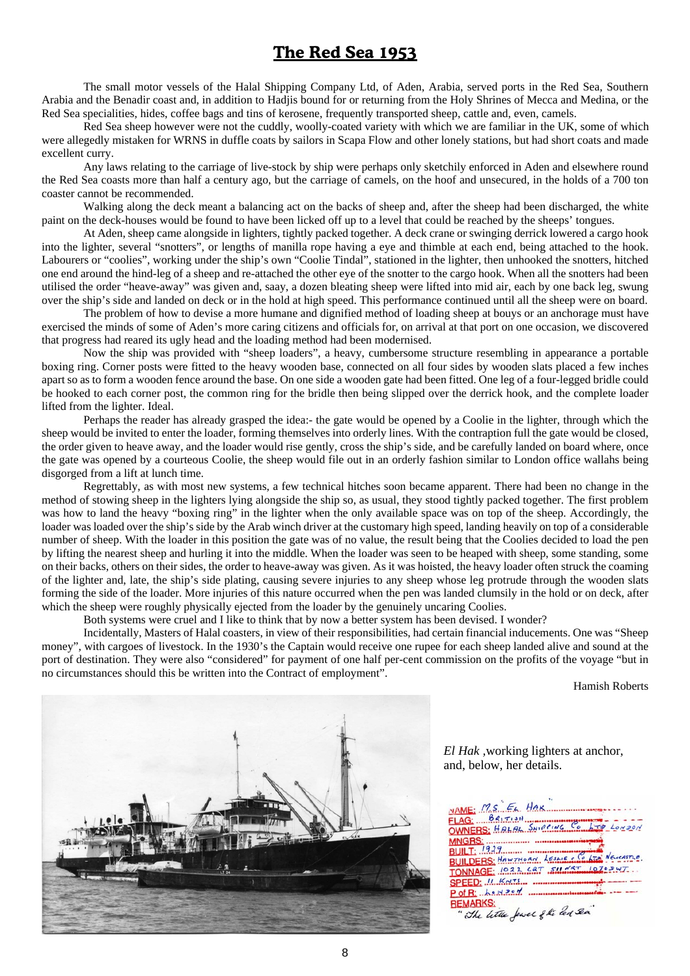#### **The Red Sea 1953**

The small motor vessels of the Halal Shipping Company Ltd, of Aden, Arabia, served ports in the Red Sea, Southern Arabia and the Benadir coast and, in addition to Hadjis bound for or returning from the Holy Shrines of Mecca and Medina, or the Red Sea specialities, hides, coffee bags and tins of kerosene, frequently transported sheep, cattle and, even, camels.

Red Sea sheep however were not the cuddly, woolly-coated variety with which we are familiar in the UK, some of which were allegedly mistaken for WRNS in duffle coats by sailors in Scapa Flow and other lonely stations, but had short coats and made excellent curry.

 Any laws relating to the carriage of live-stock by ship were perhaps only sketchily enforced in Aden and elsewhere round the Red Sea coasts more than half a century ago, but the carriage of camels, on the hoof and unsecured, in the holds of a 700 ton coaster cannot be recommended.

 Walking along the deck meant a balancing act on the backs of sheep and, after the sheep had been discharged, the white paint on the deck-houses would be found to have been licked off up to a level that could be reached by the sheeps' tongues.

 At Aden, sheep came alongside in lighters, tightly packed together. A deck crane or swinging derrick lowered a cargo hook into the lighter, several "snotters", or lengths of manilla rope having a eye and thimble at each end, being attached to the hook. Labourers or "coolies", working under the ship's own "Coolie Tindal", stationed in the lighter, then unhooked the snotters, hitched one end around the hind-leg of a sheep and re-attached the other eye of the snotter to the cargo hook. When all the snotters had been utilised the order "heave-away" was given and, saay, a dozen bleating sheep were lifted into mid air, each by one back leg, swung over the ship's side and landed on deck or in the hold at high speed. This performance continued until all the sheep were on board.

 The problem of how to devise a more humane and dignified method of loading sheep at bouys or an anchorage must have exercised the minds of some of Aden's more caring citizens and officials for, on arrival at that port on one occasion, we discovered that progress had reared its ugly head and the loading method had been modernised.

 Now the ship was provided with "sheep loaders", a heavy, cumbersome structure resembling in appearance a portable boxing ring. Corner posts were fitted to the heavy wooden base, connected on all four sides by wooden slats placed a few inches apart so as to form a wooden fence around the base. On one side a wooden gate had been fitted. One leg of a four-legged bridle could be hooked to each corner post, the common ring for the bridle then being slipped over the derrick hook, and the complete loader lifted from the lighter. Ideal.

 Perhaps the reader has already grasped the idea:- the gate would be opened by a Coolie in the lighter, through which the sheep would be invited to enter the loader, forming themselves into orderly lines. With the contraption full the gate would be closed, the order given to heave away, and the loader would rise gently, cross the ship's side, and be carefully landed on board where, once the gate was opened by a courteous Coolie, the sheep would file out in an orderly fashion similar to London office wallahs being disgorged from a lift at lunch time.

 Regrettably, as with most new systems, a few technical hitches soon became apparent. There had been no change in the method of stowing sheep in the lighters lying alongside the ship so, as usual, they stood tightly packed together. The first problem was how to land the heavy "boxing ring" in the lighter when the only available space was on top of the sheep. Accordingly, the loader was loaded over the ship's side by the Arab winch driver at the customary high speed, landing heavily on top of a considerable number of sheep. With the loader in this position the gate was of no value, the result being that the Coolies decided to load the pen by lifting the nearest sheep and hurling it into the middle. When the loader was seen to be heaped with sheep, some standing, some on their backs, others on their sides, the order to heave-away was given. As it was hoisted, the heavy loader often struck the coaming of the lighter and, late, the ship's side plating, causing severe injuries to any sheep whose leg protrude through the wooden slats forming the side of the loader. More injuries of this nature occurred when the pen was landed clumsily in the hold or on deck, after which the sheep were roughly physically ejected from the loader by the genuinely uncaring Coolies.

Both systems were cruel and I like to think that by now a better system has been devised. I wonder?

 Incidentally, Masters of Halal coasters, in view of their responsibilities, had certain financial inducements. One was "Sheep money", with cargoes of livestock. In the 1930's the Captain would receive one rupee for each sheep landed alive and sound at the port of destination. They were also "considered" for payment of one half per-cent commission on the profits of the voyage "but in no circumstances should this be written into the Contract of employment".

Hamish Roberts



*El Hak ,*working lighters at anchor, and, below, her details.

NAME: M.S. EL HAK FLAG:  $BR_1$ OWNERS: HALAL SHIPPING LONDON **MNGRS: BUILDERS: HAWTHORN, LESSIE : CELLET** TONNAGE: 1922 CAT SHEET  $1070207$ SPEED: IL KNTS... P of R: hertzen ........ **REMARKS:** -MARKS:<br>"The little fewel of the led Sea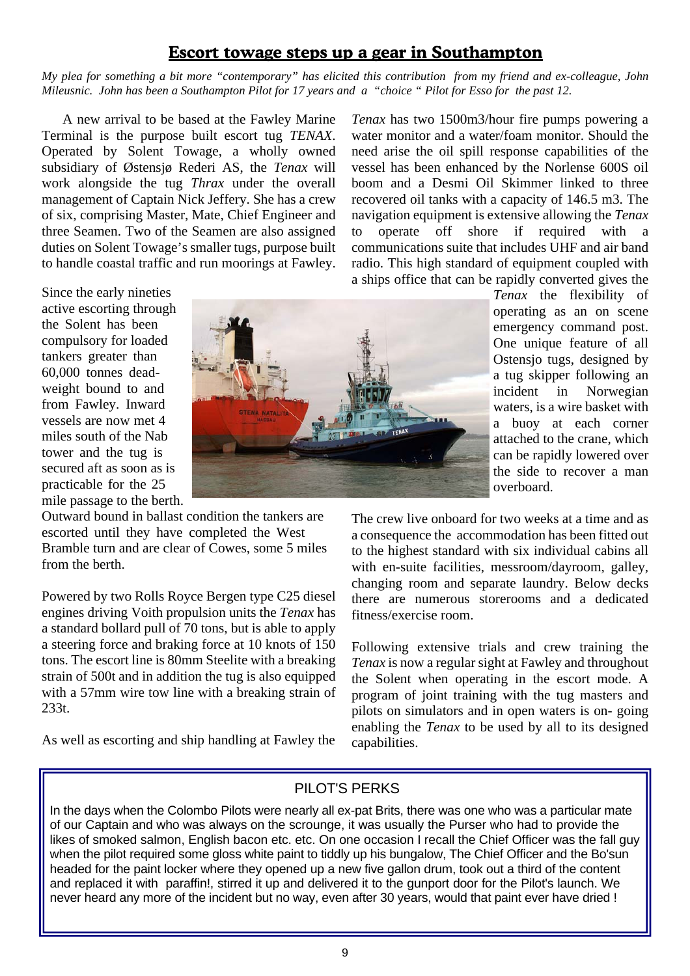#### **Escort towage steps up a gear in Southampton**

*My plea for something a bit more "contemporary" has elicited this contribution from my friend and ex-colleague, John Mileusnic. John has been a Southampton Pilot for 17 years and a "choice " Pilot for Esso for the past 12.*

A new arrival to be based at the Fawley Marine Terminal is the purpose built escort tug *TENAX*. Operated by Solent Towage, a wholly owned subsidiary of Østensjø Rederi AS, the *Tenax* will work alongside the tug *Thrax* under the overall management of Captain Nick Jeffery. She has a crew of six, comprising Master, Mate, Chief Engineer and three Seamen. Two of the Seamen are also assigned duties on Solent Towage's smaller tugs, purpose built to handle coastal traffic and run moorings at Fawley.

*Tenax* has two 1500m3/hour fire pumps powering a water monitor and a water/foam monitor. Should the need arise the oil spill response capabilities of the vessel has been enhanced by the Norlense 600S oil boom and a Desmi Oil Skimmer linked to three recovered oil tanks with a capacity of 146.5 m3. The navigation equipment is extensive allowing the *Tenax* to operate off shore if required with a communications suite that includes UHF and air band radio. This high standard of equipment coupled with a ships office that can be rapidly converted gives the

Since the early nineties active escorting through the Solent has been compulsory for loaded tankers greater than 60,000 tonnes deadweight bound to and from Fawley. Inward vessels are now met 4 miles south of the Nab tower and the tug is secured aft as soon as is practicable for the 25 mile passage to the berth.

Outward bound in ballast condition the tankers are escorted until they have completed the West Bramble turn and are clear of Cowes, some 5 miles from the berth.

Powered by two Rolls Royce Bergen type C25 diesel engines driving Voith propulsion units the *Tenax* has a standard bollard pull of 70 tons, but is able to apply a steering force and braking force at 10 knots of 150 tons. The escort line is 80mm Steelite with a breaking strain of 500t and in addition the tug is also equipped with a 57mm wire tow line with a breaking strain of 233t.

As well as escorting and ship handling at Fawley the



*Tenax* the flexibility of operating as an on scene emergency command post. One unique feature of all Ostensjo tugs, designed by a tug skipper following an incident in Norwegian waters, is a wire basket with a buoy at each corner attached to the crane, which can be rapidly lowered over the side to recover a man overboard.

The crew live onboard for two weeks at a time and as a consequence the accommodation has been fitted out to the highest standard with six individual cabins all with en-suite facilities, messroom/dayroom, galley, changing room and separate laundry. Below decks there are numerous storerooms and a dedicated fitness/exercise room.

Following extensive trials and crew training the *Tenax* is now a regular sight at Fawley and throughout the Solent when operating in the escort mode. A program of joint training with the tug masters and pilots on simulators and in open waters is on- going enabling the *Tenax* to be used by all to its designed capabilities.

#### PILOT'S PERKS

In the days when the Colombo Pilots were nearly all ex-pat Brits, there was one who was a particular mate of our Captain and who was always on the scrounge, it was usually the Purser who had to provide the likes of smoked salmon, English bacon etc. etc. On one occasion I recall the Chief Officer was the fall guy when the pilot required some gloss white paint to tiddly up his bungalow, The Chief Officer and the Bo'sun headed for the paint locker where they opened up a new five gallon drum, took out a third of the content and replaced it with paraffin!, stirred it up and delivered it to the gunport door for the Pilot's launch. We never heard any more of the incident but no way, even after 30 years, would that paint ever have dried !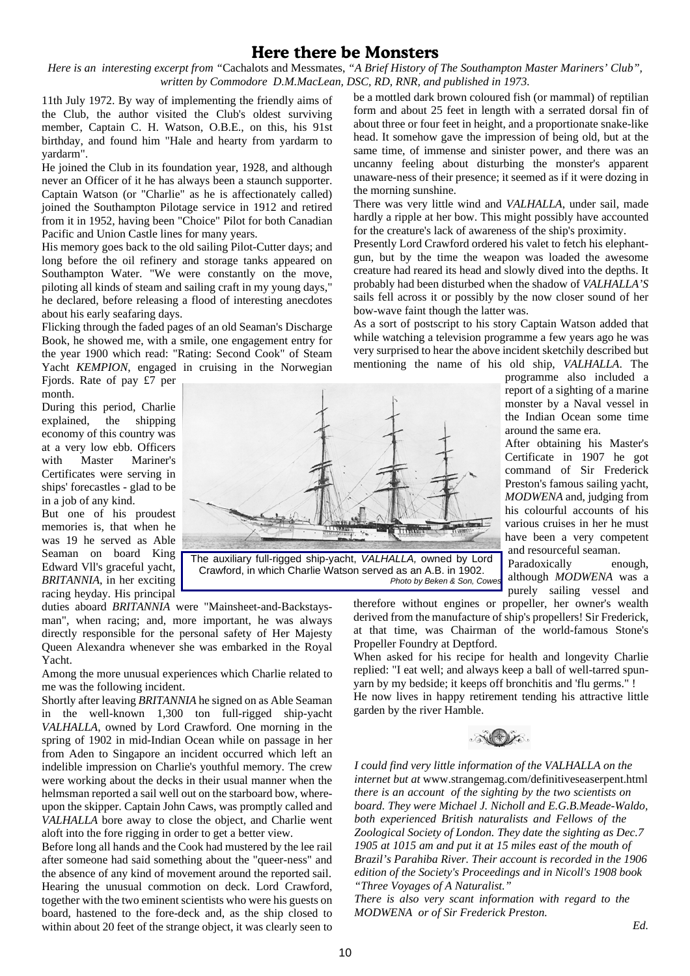#### **Here there be Monsters**

*Here is an interesting excerpt from "*Cachalots and Messmates, *"A Brief History of The Southampton Master Mariners' Club", written by Commodore D.M.MacLean, DSC, RD, RNR, and published in 1973.*

11th July 1972. By way of implementing the friendly aims of the Club, the author visited the Club's oldest surviving member, Captain C. H. Watson, O.B.E., on this, his 91st birthday, and found him "Hale and hearty from yardarm to yardarm".

He joined the Club in its foundation year, 1928, and although never an Officer of it he has always been a staunch supporter. Captain Watson (or "Charlie" as he is affectionately called) joined the Southampton Pilotage service in 1912 and retired from it in 1952, having been "Choice" Pilot for both Canadian Pacific and Union Castle lines for many years.

His memory goes back to the old sailing Pilot-Cutter days; and long before the oil refinery and storage tanks appeared on Southampton Water. "We were constantly on the move, piloting all kinds of steam and sailing craft in my young days," he declared, before releasing a flood of interesting anecdotes about his early seafaring days.

Flicking through the faded pages of an old Seaman's Discharge Book, he showed me, with a smile, one engagement entry for the year 1900 which read: "Rating: Second Cook" of Steam Yacht *KEMPION*, engaged in cruising in the Norwegian

Fjords. Rate of pay £7 per month.

During this period, Charlie explained, the shipping economy of this country was at a very low ebb. Officers with Master Mariner's Certificates were serving in ships' forecastles - glad to be in a job of any kind.

But one of his proudest memories is, that when he was 19 he served as Able Seaman on board King Edward Vll's graceful yacht, *BRITANNIA*, in her exciting racing heyday. His principal



The auxiliary full-rigged ship-yacht, *VALHALLA,* owned by Lord Crawford, in which Charlie Watson served as an A.B. in 1902. *Photo by Beken & Son, Cowes*

duties aboard *BRITANNIA* were "Mainsheet-and-Backstaysman", when racing; and, more important, he was always directly responsible for the personal safety of Her Majesty Queen Alexandra whenever she was embarked in the Royal Yacht.

Among the more unusual experiences which Charlie related to me was the following incident.

Shortly after leaving *BRITANNIA* he signed on as Able Seaman in the well-known 1,300 ton full-rigged ship-yacht *VALHALLA*, owned by Lord Crawford. One morning in the spring of 1902 in mid-Indian Ocean while on passage in her from Aden to Singapore an incident occurred which left an indelible impression on Charlie's youthful memory. The crew were working about the decks in their usual manner when the helmsman reported a sail well out on the starboard bow, whereupon the skipper. Captain John Caws, was promptly called and *VALHALLA* bore away to close the object, and Charlie went aloft into the fore rigging in order to get a better view.

Before long all hands and the Cook had mustered by the lee rail after someone had said something about the "queer-ness" and the absence of any kind of movement around the reported sail. Hearing the unusual commotion on deck. Lord Crawford, together with the two eminent scientists who were his guests on board, hastened to the fore-deck and, as the ship closed to within about 20 feet of the strange object, it was clearly seen to

be a mottled dark brown coloured fish (or mammal) of reptilian form and about 25 feet in length with a serrated dorsal fin of about three or four feet in height, and a proportionate snake-like head. It somehow gave the impression of being old, but at the same time, of immense and sinister power, and there was an uncanny feeling about disturbing the monster's apparent unaware-ness of their presence; it seemed as if it were dozing in the morning sunshine.

There was very little wind and *VALHALLA*, under sail, made hardly a ripple at her bow. This might possibly have accounted for the creature's lack of awareness of the ship's proximity.

Presently Lord Crawford ordered his valet to fetch his elephantgun, but by the time the weapon was loaded the awesome creature had reared its head and slowly dived into the depths. It probably had been disturbed when the shadow of *VALHALLA'S* sails fell across it or possibly by the now closer sound of her bow-wave faint though the latter was.

As a sort of postscript to his story Captain Watson added that while watching a television programme a few years ago he was very surprised to hear the above incident sketchily described but mentioning the name of his old ship, *VALHALLA*. The

> programme also included a report of a sighting of a marine monster by a Naval vessel in the Indian Ocean some time around the same era.

> After obtaining his Master's Certificate in 1907 he got command of Sir Frederick Preston's famous sailing yacht, *MODWENA* and, judging from his colourful accounts of his various cruises in her he must have been a very competent and resourceful seaman.

Paradoxically enough, although *MODWENA* was a purely sailing vessel and

therefore without engines or propeller, her owner's wealth derived from the manufacture of ship's propellers! Sir Frederick, at that time, was Chairman of the world-famous Stone's Propeller Foundry at Deptford.

When asked for his recipe for health and longevity Charlie replied: "I eat well; and always keep a ball of well-tarred spunyarn by my bedside; it keeps off bronchitis and 'flu germs." ! He now lives in happy retirement tending his attractive little garden by the river Hamble.



*I could find very little information of the VALHALLA on the internet but at* www.strangemag.com/definitiveseaserpent.html *there is an account of the sighting by the two scientists on board. They were Michael J. Nicholl and E.G.B.Meade-Waldo, both experienced British naturalists and Fellows of the Zoological Society of London. They date the sighting as Dec.7 1905 at 1015 am and put it at 15 miles east of the mouth of Brazil's Parahiba River. Their account is recorded in the 1906 edition of the Society's Proceedings and in Nicoll's 1908 book "Three Voyages of A Naturalist."*

*There is also very scant information with regard to the MODWENA or of Sir Frederick Preston.*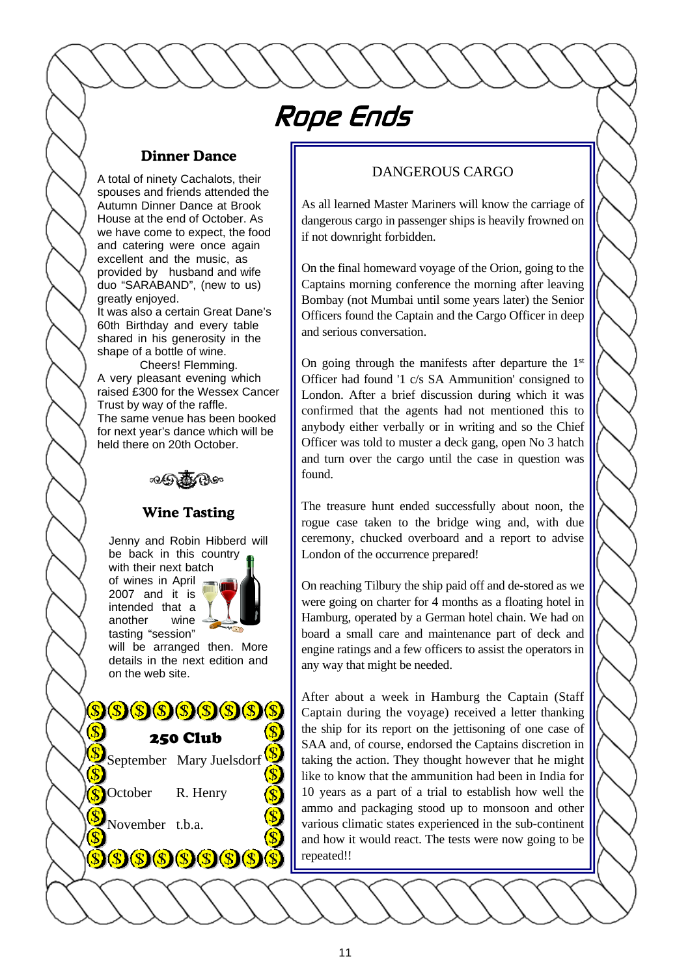## Rope Ends

#### **Dinner Dance**

A total of ninety Cachalots, their spouses and friends attended the Autumn Dinner Dance at Brook House at the end of October. As we have come to expect, the food and catering were once again excellent and the music, as provided by husband and wife duo "SARABAND", (new to us) greatly enjoyed.

It was also a certain Great Dane's 60th Birthday and every table shared in his generosity in the shape of a bottle of wine.

Cheers! Flemming. A very pleasant evening which raised £300 for the Wessex Cancer Trust by way of the raffle. The same venue has been booked for next year's dance which will be held there on 20th October.



#### **Wine Tasting**

Jenny and Robin Hibberd will be back in this country with their next batch of wines in April 2007 and it is intended that a another wine

tasting "session" will be arranged then. More details in the next edition and on the web site.



October R. Henry

November t.b.a.

 $\mathcal{S}(S)(S)(S)$ 

 $\left( \mathbf{r} \right)$ 

#### DANGEROUS CARGO

As all learned Master Mariners will know the carriage of dangerous cargo in passenger ships is heavily frowned on if not downright forbidden.

On the final homeward voyage of the Orion, going to the Captains morning conference the morning after leaving Bombay (not Mumbai until some years later) the Senior Officers found the Captain and the Cargo Officer in deep and serious conversation.

On going through the manifests after departure the  $1<sup>st</sup>$ Officer had found '1 c/s SA Ammunition' consigned to London. After a brief discussion during which it was confirmed that the agents had not mentioned this to anybody either verbally or in writing and so the Chief Officer was told to muster a deck gang, open No 3 hatch and turn over the cargo until the case in question was found.

The treasure hunt ended successfully about noon, the rogue case taken to the bridge wing and, with due ceremony, chucked overboard and a report to advise London of the occurrence prepared!

On reaching Tilbury the ship paid off and de-stored as we were going on charter for 4 months as a floating hotel in Hamburg, operated by a German hotel chain. We had on board a small care and maintenance part of deck and engine ratings and a few officers to assist the operators in any way that might be needed.

After about a week in Hamburg the Captain (Staff Captain during the voyage) received a letter thanking the ship for its report on the jettisoning of one case of SAA and, of course, endorsed the Captains discretion in taking the action. They thought however that he might like to know that the ammunition had been in India for 10 years as a part of a trial to establish how well the ammo and packaging stood up to monsoon and other various climatic states experienced in the sub-continent and how it would react. The tests were now going to be repeated!!